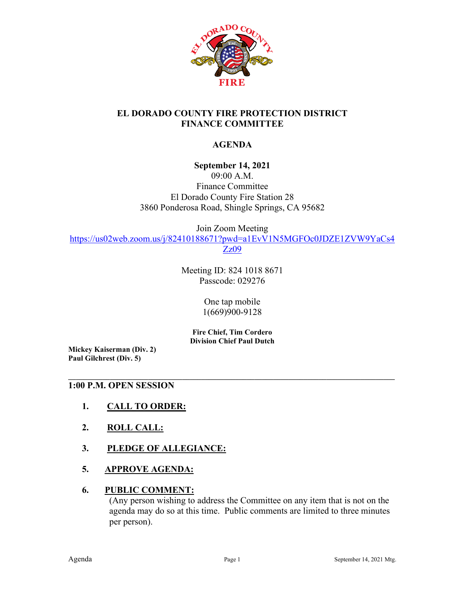

## **EL DORADO COUNTY FIRE PROTECTION DISTRICT FINANCE COMMITTEE**

# **AGENDA**

## **September 14, 2021**

09:00 A.M. Finance Committee El Dorado County Fire Station 28 3860 Ponderosa Road, Shingle Springs, CA 95682

Join Zoom Meeting [https://us02web.zoom.us/j/82410188671?pwd=a1EvV1N5MGFOc0JDZE1ZVW9YaCs4](https://us02web.zoom.us/j/82410188671?pwd=a1EvV1N5MGFOc0JDZE1ZVW9YaCs4Zz09) [Zz09](https://us02web.zoom.us/j/82410188671?pwd=a1EvV1N5MGFOc0JDZE1ZVW9YaCs4Zz09)

> Meeting ID: 824 1018 8671 Passcode: 029276

> > One tap mobile 1(669)900-9128

**Fire Chief, Tim Cordero Division Chief Paul Dutch**

**\_\_\_\_\_\_\_\_\_\_\_\_\_\_\_\_\_\_\_\_\_\_\_\_\_\_\_\_\_\_\_\_\_\_\_\_\_\_\_\_\_\_\_\_\_\_\_\_\_\_\_\_\_\_\_\_\_\_\_\_\_\_\_\_\_\_\_\_\_\_\_\_\_\_\_\_\_\_\_\_\_\_\_\_\_\_**

**Mickey Kaiserman (Div. 2) Paul Gilchrest (Div. 5)** 

#### **1:00 P.M. OPEN SESSION**

- **1. CALL TO ORDER:**
- **2. ROLL CALL:**
- **3. PLEDGE OF ALLEGIANCE:**
- **5. APPROVE AGENDA:**

### **6. PUBLIC COMMENT:**

(Any person wishing to address the Committee on any item that is not on the agenda may do so at this time. Public comments are limited to three minutes per person).